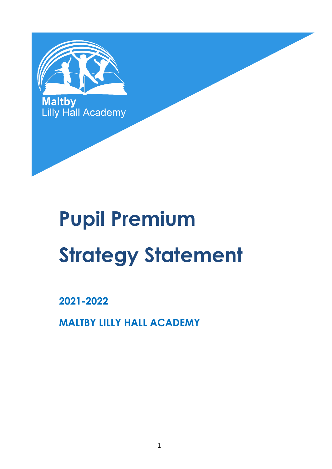

# **Pupil Premium Strategy Statement**

**2021-2022**

**MALTBY LILLY HALL ACADEMY**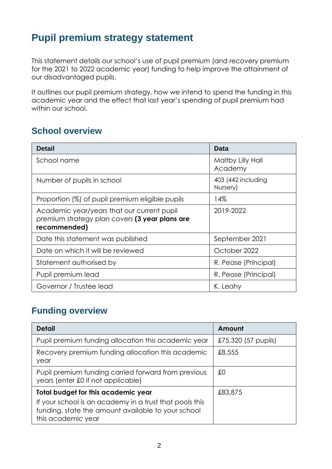## **Pupil premium strategy statement**

This statement details our school's use of pupil premium (and recovery premium for the 2021 to 2022 academic year) funding to help improve the attainment of our disadvantaged pupils.

It outlines our pupil premium strategy, how we intend to spend the funding in this academic year and the effect that last year's spending of pupil premium had within our school.

## **School overview**

| <b>Detail</b>                                                                                                | <b>Data</b>                    |
|--------------------------------------------------------------------------------------------------------------|--------------------------------|
| School name                                                                                                  | Maltby Lilly Hall<br>Academy   |
| Number of pupils in school                                                                                   | 403 (442 including<br>Nursery) |
| Proportion (%) of pupil premium eligible pupils                                                              | 14%                            |
| Academic year/years that our current pupil<br>premium strategy plan covers (3 year plans are<br>recommended) | 2019-2022                      |
| Date this statement was published                                                                            | September 2021                 |
| Date on which it will be reviewed                                                                            | October 2022                   |
| Statement authorised by                                                                                      | R. Pease (Principal)           |
| Pupil premium lead                                                                                           | R. Pease (Principal)           |
| Governor / Trustee lead                                                                                      | K. Leahy                       |

## **Funding overview**

| <b>Detail</b>                                                                                                                       | Amount              |
|-------------------------------------------------------------------------------------------------------------------------------------|---------------------|
| Pupil premium funding allocation this academic year                                                                                 | £75,320 (57 pupils) |
| Recovery premium funding allocation this academic<br>year                                                                           | £8,555              |
| Pupil premium funding carried forward from previous<br>years (enter £0 if not applicable)                                           | £0                  |
| <b>Total budget for this academic year</b>                                                                                          | £83,875             |
| If your school is an academy in a trust that pools this<br>funding, state the amount available to your school<br>this academic year |                     |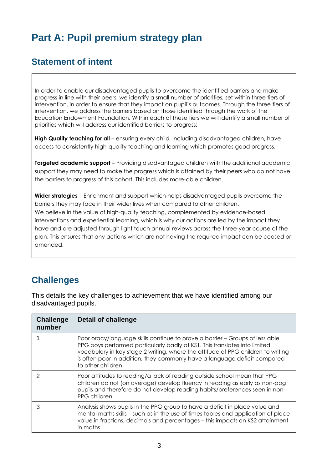# **Part A: Pupil premium strategy plan**

## **Statement of intent**

In order to enable our disadvantaged pupils to overcome the identified barriers and make progress in line with their peers, we identify a small number of priorities, set within three tiers of intervention, in order to ensure that they impact on pupil's outcomes. Through the three tiers of intervention, we address the barriers based on those identified through the work of the Education Endowment Foundation. Within each of these tiers we will identify a small number of priorities which will address our identified barriers to progress:

**High Quality teaching for all** – ensuring every child, including disadvantaged children, have access to consistently high-quality teaching and learning which promotes good progress.

**Targeted academic support** – Providing disadvantaged children with the additional academic support they may need to make the progress which is attained by their peers who do not have the barriers to progress of this cohort. This includes more-able children.

**Wider strategies** – Enrichment and support which helps disadvantaged pupils overcome the barriers they may face in their wider lives when compared to other children. We believe in the value of high-quality teaching, complemented by evidence-based interventions and experiential learning, which is why our actions are led by the impact they have and are adjusted through light touch annual reviews across the three-year course of the plan. This ensures that any actions which are not having the required impact can be ceased or amended.

## **Challenges**

This details the key challenges to achievement that we have identified among our disadvantaged pupils.

| <b>Challenge</b><br>number | <b>Detail of challenge</b>                                                                                                                                                                                                                                                                                                                        |
|----------------------------|---------------------------------------------------------------------------------------------------------------------------------------------------------------------------------------------------------------------------------------------------------------------------------------------------------------------------------------------------|
|                            | Poor oracy/language skills continue to prove a barrier – Groups of less able<br>PPG boys performed particularly badly at KS1. This translates into limited<br>vocabulary in key stage 2 writing, where the attitude of PPG children to writing<br>is often poor in addition, they commonly have a language deficit compared<br>to other children. |
|                            | Poor attitudes to reading/a lack of reading outside school mean that PPG<br>children do not (on average) develop fluency in reading as early as non-ppg<br>pupils and therefore do not develop reading habits/preferences seen in non-<br>PPG children.                                                                                           |
| 3                          | Analysis shows pupils in the PPG group to have a deficit in place value and<br>mental maths skills – such as in the use of times tables and application of place<br>value in fractions, decimals and percentages - this impacts on KS2 attainment<br>in maths.                                                                                    |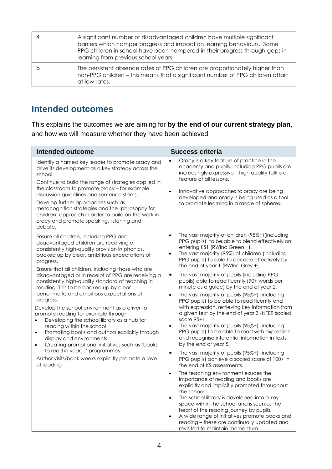| A significant number of disadvantaged children have multiple significant<br>barriers which hamper progress and impact on learning behaviours. Some<br>PPG children in school have been hampered in their progress through gaps in<br>learning from previous school years. |
|---------------------------------------------------------------------------------------------------------------------------------------------------------------------------------------------------------------------------------------------------------------------------|
| The persistent absence rates of PPG children are proportionately higher than<br>non-PPG children - this means that a significant number of PPG children attain<br>at low rates.                                                                                           |

## **Intended outcomes**

This explains the outcomes we are aiming for **by the end of our current strategy plan**, and how we will measure whether they have been achieved.

| <b>Intended outcome</b>                                                                                                                                                                                                                                                                                                                                                                                                                                                                                                                                                                                                                                                                                                                                                                                                                                                                                 | <b>Success criteria</b>                                                                                                                                                                                                                                                                                                                                                                                                                                                                                                                                                                                                                                                                                                                                                                                                                                                                                                                                                                                                                                                                                                                                                                                                                                                                                                                                                                                                                                                                             |
|---------------------------------------------------------------------------------------------------------------------------------------------------------------------------------------------------------------------------------------------------------------------------------------------------------------------------------------------------------------------------------------------------------------------------------------------------------------------------------------------------------------------------------------------------------------------------------------------------------------------------------------------------------------------------------------------------------------------------------------------------------------------------------------------------------------------------------------------------------------------------------------------------------|-----------------------------------------------------------------------------------------------------------------------------------------------------------------------------------------------------------------------------------------------------------------------------------------------------------------------------------------------------------------------------------------------------------------------------------------------------------------------------------------------------------------------------------------------------------------------------------------------------------------------------------------------------------------------------------------------------------------------------------------------------------------------------------------------------------------------------------------------------------------------------------------------------------------------------------------------------------------------------------------------------------------------------------------------------------------------------------------------------------------------------------------------------------------------------------------------------------------------------------------------------------------------------------------------------------------------------------------------------------------------------------------------------------------------------------------------------------------------------------------------------|
| Identify a named key leader to promote oracy and<br>drive its development as a key strategy across the<br>school.<br>Continue to build the range of strategies applied in<br>the classroom to promote oracy - for example<br>discussion guidelines and sentence stems.<br>Develop further approaches such as<br>metacognition strategies and the 'philosophy for<br>children' approach in order to build on the work in<br>oracy and promote speaking, listening and<br>debate.                                                                                                                                                                                                                                                                                                                                                                                                                         | Oracy is a key feature of practice in the<br>academy and pupils, including PPG pupils are<br>increasingly expressive - high quality talk is a<br>feature of all lessons.<br>Innovative approaches to oracy are being<br>$\bullet$<br>developed and oracy is being used as a tool<br>to promote learning in a range of spheres.                                                                                                                                                                                                                                                                                                                                                                                                                                                                                                                                                                                                                                                                                                                                                                                                                                                                                                                                                                                                                                                                                                                                                                      |
| Ensure all children, including PPG and<br>disadvantaged children are receiving a<br>consistently high-quality provision in phonics,<br>backed up by clear, ambitious expectations of<br>progress.<br>Ensure that all children, including those who are<br>disadvantaged or in receipt of PPG are receiving a<br>consistently high-quality standard of teaching in<br>reading. This to be backed up by clear<br>benchmarks and ambitious expectations of<br>progress.<br>Develop the school environment as a driver to<br>promote reading for example through -<br>Developing the school library as a hub for<br>reading within the school<br>Promoting books and authors explicitly through<br>$\bullet$<br>display and environments<br>Creating promotional initiatives such as 'books<br>$\bullet$<br>to read in year' programmes<br>Author visits/book weeks explicitly promote a love<br>of reading | The vast majority of children (95%+) (including<br>$\bullet$<br>PPG pupils) to be able to blend effectively on<br>entering KS1 (RWinc Green +).<br>The vast majority (95%) of children (including<br>$\bullet$<br>PPG pupils) to able to decode effectively by<br>the end of year 1 (RWInc Grey +).<br>The vast majority of pupils (including PPG<br>$\bullet$<br>pupils) able to read fluently (90+ words per<br>minute as a guide) by the end of year 2.<br>The vast majority of pupils (95%+) (including<br>$\bullet$<br>PPG pupils) to be able to read fluently and<br>with expression, retrieving key information from<br>a given text by the end of year 3 (NFER scaled<br>score $95+$<br>The vast majority of pupils (95%+) (including<br>$\bullet$<br>PPG pupils) to be able to read with expression<br>and recognise inferential information in texts<br>by the end of year 5.<br>The vast majority of pupils (95%+) (including<br>$\bullet$<br>PPG pupils) achieve a scaled score of 100+ in<br>the end of KS assessments.<br>The teaching environment exudes the<br>$\bullet$<br>importance of reading and books are<br>explicitly and implicitly promoted throughout<br>the school.<br>The school library is developed into a key<br>$\bullet$<br>space within the school and is seen as the<br>heart of the reading journey by pupils.<br>A wide range of initiatives promote books and<br>$\bullet$<br>reading - these are continually updated and<br>revisited to maintain momentum. |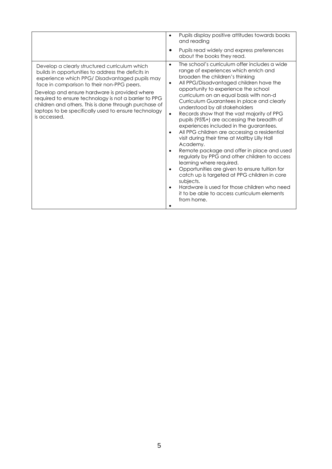|                                                                                                                                                                                                                                                                                                                                                                                                                                               | Pupils display positive attitudes towards books<br>$\bullet$<br>and reading<br>Pupils read widely and express preferences<br>about the books they read.                                                                                                                                                                                                                                                                                                                                                                                                                                                                                                                                                                                                                                                                                                                                                                                                                                 |
|-----------------------------------------------------------------------------------------------------------------------------------------------------------------------------------------------------------------------------------------------------------------------------------------------------------------------------------------------------------------------------------------------------------------------------------------------|-----------------------------------------------------------------------------------------------------------------------------------------------------------------------------------------------------------------------------------------------------------------------------------------------------------------------------------------------------------------------------------------------------------------------------------------------------------------------------------------------------------------------------------------------------------------------------------------------------------------------------------------------------------------------------------------------------------------------------------------------------------------------------------------------------------------------------------------------------------------------------------------------------------------------------------------------------------------------------------------|
| Develop a clearly structured curriculum which<br>builds in opportunities to address the deficits in<br>experience which PPG/Disadvantaged pupils may<br>face in comparison to their non-PPG peers.<br>Develop and ensure hardware is provided where<br>required to ensure technology is not a barrier to PPG<br>children and others. This is done through purchase of<br>laptops to be specifically used to ensure technology<br>is accessed. | The school's curriculum offer includes a wide<br>$\bullet$<br>range of experiences which enrich and<br>broaden the children's thinking<br>All PPG/Disadvantaged children have the<br>$\bullet$<br>opportunity to experience the school<br>curriculum on an equal basis with non-d<br>Curriculum Guarantees in place and clearly<br>understood by all stakeholders<br>Records show that the vast majority of PPG<br>pupils (95%+) are accessing the breadth of<br>experiences included in the guarantees.<br>All PPG children are accessing a residential<br>visit during their time at Maltby Lilly Hall<br>Academy.<br>Remote package and offer in place and used<br>regularly by PPG and other children to access<br>learning where required.<br>Opportunities are given to ensure tuition for<br>catch up is targeted at PPG children in core<br>subjects.<br>Hardware is used for those children who need<br>$\bullet$<br>it to be able to access curriculum elements<br>from home. |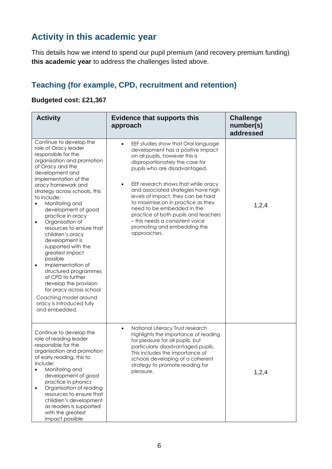## **Activity in this academic year**

This details how we intend to spend our pupil premium (and recovery premium funding) **this academic year** to address the challenges listed above.

## **Teaching (for example, CPD, recruitment and retention)**

#### **Budgeted cost: £21,367**

| <b>Activity</b>                                                                                                                                                                                                                                                                                                                                                                                                                                                                                                                                                                                                                                                             | <b>Evidence that supports this</b><br>approach                                                                                                                                                                                                                                                                                                                                                                                                                                                  | <b>Challenge</b><br>number(s)<br>addressed |
|-----------------------------------------------------------------------------------------------------------------------------------------------------------------------------------------------------------------------------------------------------------------------------------------------------------------------------------------------------------------------------------------------------------------------------------------------------------------------------------------------------------------------------------------------------------------------------------------------------------------------------------------------------------------------------|-------------------------------------------------------------------------------------------------------------------------------------------------------------------------------------------------------------------------------------------------------------------------------------------------------------------------------------------------------------------------------------------------------------------------------------------------------------------------------------------------|--------------------------------------------|
| Continue to develop the<br>role of Oracy leader<br>responsible for the<br>organisation and promotion<br>of Oracy and the<br>development and<br>implementation of the<br>oracy framework and<br>strategy across schools, this<br>to include:<br>Monitoring and<br>development of good<br>practice in oracy<br>Organisation of<br>$\bullet$<br>resources to ensure that<br>children's oracy<br>development is<br>supported with the<br>greatest impact<br>possible<br>Implementation of<br>$\bullet$<br>structured programmes<br>of CPD to further<br>develop the provision<br>for oracy across school<br>Coaching model around<br>oracy is introduced fully<br>and embedded. | EEF studies show that Oral language<br>development has a positive impact<br>on all pupils, however this is<br>disproportionately the case for<br>pupils who are disadvantaged.<br>EEF research shows that while oracy<br>and associated strategies have high<br>levels of impact, they can be hard<br>to maximise on in practice as they<br>need to be embedded in the<br>practice of both pupils and teachers<br>- this needs a consistent voice<br>promoting and embedding the<br>approaches. | 1,2,4                                      |
| Continue to develop the<br>role of reading leader<br>responsible for the<br>organisation and promotion<br>of early reading, this to<br>include:<br>Monitoring and<br>$\bullet$<br>development of good<br>practice in phonics<br>Organisation of reading<br>$\bullet$<br>resources to ensure that<br>children's development<br>as readers is supported<br>with the greatest<br>impact possible                                                                                                                                                                                                                                                                               | National Literacy Trust research<br>$\bullet$<br>highlights the importance of reading<br>for pleasure for all pupils, but<br>particularly disadvantaged pupils.<br>This includes the importance of<br>schools developing of a coherent<br>strategy to promote reading for<br>pleasure.                                                                                                                                                                                                          | 1,2,4                                      |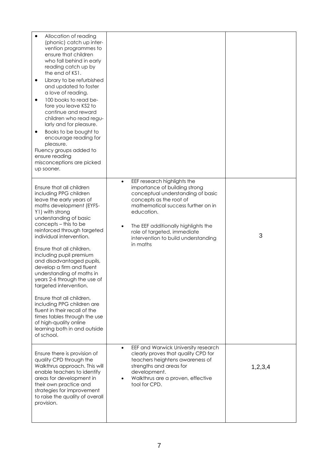| Allocation of reading<br>(phonic) catch up inter-<br>vention programmes to<br>ensure that children<br>who fall behind in early<br>reading catch up by<br>the end of KS1.<br>Library to be refurbished<br>٠<br>and updated to foster<br>a love of reading.<br>100 books to read be-<br>٠<br>fore you leave KS2 to<br>continue and reward<br>children who read regu-<br>larly and for pleasure.<br>Books to be bought to<br>$\bullet$<br>encourage reading for<br>pleasure.<br>Fluency groups added to<br>ensure reading<br>misconceptions are picked<br>up sooner.                                                                                        |                                                                                                                                                                                                                                                                                                                                     |         |
|----------------------------------------------------------------------------------------------------------------------------------------------------------------------------------------------------------------------------------------------------------------------------------------------------------------------------------------------------------------------------------------------------------------------------------------------------------------------------------------------------------------------------------------------------------------------------------------------------------------------------------------------------------|-------------------------------------------------------------------------------------------------------------------------------------------------------------------------------------------------------------------------------------------------------------------------------------------------------------------------------------|---------|
| Ensure that all children<br>including PPG children<br>leave the early years of<br>maths development (EYFS-<br>Y1) with strong<br>understanding of basic<br>concepts - this to be<br>reinforced through targeted<br>individual intervention.<br>Ensure that all children,<br>including pupil premium<br>and disadvantaged pupils,<br>develop a firm and fluent<br>understanding of maths in<br>years 2-6 through the use of<br>targeted intervention.<br>Ensure that all children,<br>including PPG children are<br>fluent in their recall of the<br>times tables through the use<br>of high-quality online<br>learning both in and outside<br>of school. | EEF research highlights the<br>$\bullet$<br>importance of building strong<br>conceptual understanding of basic<br>concepts as the root of<br>mathematical success further on in<br>education.<br>The EEF additionally highlights the<br>$\bullet$<br>role of targeted, immediate<br>intervention to build understanding<br>in maths | 3       |
| Ensure there is provision of<br>quality CPD through the<br>Walkthrus approach. This will<br>enable teachers to identify<br>areas for development in<br>their own practice and<br>strategies for improvement<br>to raise the quality of overall<br>provision.                                                                                                                                                                                                                                                                                                                                                                                             | EEF and Warwick University research<br>$\bullet$<br>clearly proves that quality CPD for<br>teachers heightens awareness of<br>strengths and areas for<br>development.<br>Walkthrus are a proven, effective<br>tool for CPD.                                                                                                         | 1,2,3,4 |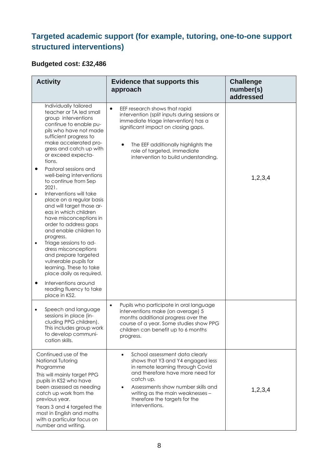## **Targeted academic support (for example, tutoring, one-to-one support structured interventions)**

#### **Budgeted cost: £32,486**

| <b>Activity</b>                                                                                                                                                                                                                                                                                                                                                                                                                                                                                                                                                                                                                                                                  | <b>Evidence that supports this</b><br>approach                                                                                                                                                                                                                                                                  | <b>Challenge</b><br>number(s)<br>addressed |
|----------------------------------------------------------------------------------------------------------------------------------------------------------------------------------------------------------------------------------------------------------------------------------------------------------------------------------------------------------------------------------------------------------------------------------------------------------------------------------------------------------------------------------------------------------------------------------------------------------------------------------------------------------------------------------|-----------------------------------------------------------------------------------------------------------------------------------------------------------------------------------------------------------------------------------------------------------------------------------------------------------------|--------------------------------------------|
| Individually tailored<br>teacher or TA led small<br>group interventions<br>continue to enable pu-<br>pils who have not made<br>sufficient progress to<br>make accelerated pro-<br>gress and catch up with<br>or exceed expecta-<br>tions.<br>Pastoral sessions and<br>$\bullet$<br>well-being interventions<br>to continue from Sep<br>2021.<br>Interventions will take<br>$\bullet$<br>place on a regular basis<br>and will target those ar-<br>eas in which children<br>have misconceptions in<br>order to address gaps<br>and enable children to<br>progress.<br>Triage sessions to ad-<br>$\bullet$<br>dress misconceptions<br>and prepare targeted<br>vulnerable pupils for | EEF research shows that rapid<br>$\bullet$<br>intervention (split inputs during sessions or<br>immediate triage intervention) has a<br>significant impact on closing gaps.<br>The EEF additionally highlights the<br>role of targeted, immediate<br>intervention to build understanding.                        | 1,2,3,4                                    |
| learning. These to take<br>place daily as required.<br>Interventions around<br>$\bullet$<br>reading fluency to take<br>place in KS2.                                                                                                                                                                                                                                                                                                                                                                                                                                                                                                                                             |                                                                                                                                                                                                                                                                                                                 |                                            |
| Speech and language<br>$\bullet$<br>sessions in place (in-<br>cluding PPG children).<br>This includes group work<br>to develop communi-<br>cation skills.                                                                                                                                                                                                                                                                                                                                                                                                                                                                                                                        | Pupils who participate in oral language<br>$\bullet$<br>interventions make (on average) 5<br>months additional progress over the<br>course of a year. Some studies show PPG<br>children can benefit up to 6 months<br>progress.                                                                                 |                                            |
| Continued use of the<br>National Tutoring<br>Programme<br>This will mainly target PPG<br>pupils in KS2 who have<br>been assessed as needing<br>catch up work from the<br>previous year.<br>Years 3 and 4 targeted the<br>most in English and maths<br>with a particular focus on<br>number and writing.                                                                                                                                                                                                                                                                                                                                                                          | School assessment data clearly<br>$\bullet$<br>shows that Y3 and Y4 engaged less<br>in remote learning through Covid<br>and therefore have more need for<br>catch up.<br>Assessments show number skills and<br>$\bullet$<br>writing as the main weaknesses -<br>therefore the targets for the<br>interventions. | 1,2,3,4                                    |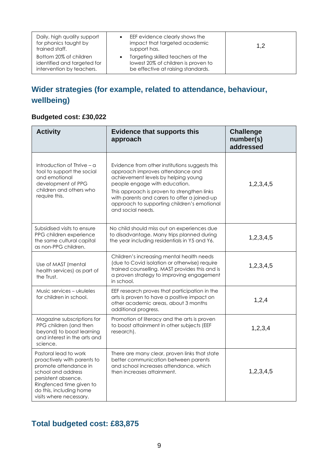| Daily, high quality support<br>for phonics taught by<br>trained staff.             | EEF evidence clearly shows the<br>impact that targeted academic<br>support has.                                | 1,2 |
|------------------------------------------------------------------------------------|----------------------------------------------------------------------------------------------------------------|-----|
| Bottom 20% of children<br>identified and targeted for<br>intervention by teachers. | Targeting skilled teachers at the<br>lowest 20% of children is proven to<br>be effective at raising standards. |     |

## **Wider strategies (for example, related to attendance, behaviour, wellbeing)**

### **Budgeted cost: £30,022**

| <b>Activity</b>                                                                                                                                                                                              | <b>Evidence that supports this</b><br>approach                                                                                                                                                                                                                                                                                | <b>Challenge</b><br>number(s)<br>addressed |
|--------------------------------------------------------------------------------------------------------------------------------------------------------------------------------------------------------------|-------------------------------------------------------------------------------------------------------------------------------------------------------------------------------------------------------------------------------------------------------------------------------------------------------------------------------|--------------------------------------------|
| Introduction of Thrive – a<br>tool to support the social<br>and emotional<br>development of PPG<br>children and others who<br>require this.                                                                  | Evidence from other institutions suggests this<br>approach improves attendance and<br>achievement levels by helping young<br>people engage with education.<br>This approach is proven to strengthen links<br>with parents and carers to offer a joined-up<br>approach to supporting children's emotional<br>and social needs. | 1,2,3,4,5                                  |
| Subsidised visits to ensure<br>PPG children experience<br>the same cultural capital<br>as non-PPG children.                                                                                                  | No child should miss out on experiences due<br>to disadvantage. Many trips planned during<br>the year including residentials in Y5 and Y6.                                                                                                                                                                                    | 1,2,3,4,5                                  |
| Use of MAST (mental<br>health services) as part of<br>the Trust.                                                                                                                                             | Children's increasing mental health needs<br>(due to Covid isolation or otherwise) require<br>trained counselling. MAST provides this and is<br>a proven strategy to improving engagement<br>in school.                                                                                                                       | 1,2,3,4,5                                  |
| Music services – ukuleles<br>for children in school.                                                                                                                                                         | EEF research proves that participation in the<br>arts is proven to have a positive impact on<br>other academic areas, about 3 months<br>additional progress.                                                                                                                                                                  | 1,2,4                                      |
| Magazine subscriptions for<br>PPG children (and then<br>beyond) to boost learning<br>and interest in the arts and<br>science.                                                                                | Promotion of literacy and the arts is proven<br>to boost attainment in other subjects (EEF<br>research).                                                                                                                                                                                                                      | 1,2,3,4                                    |
| Pastoral lead to work<br>proactively with parents to<br>promote attendance in<br>school and address<br>persistent absence.<br>Ringfenced time given to<br>do this, including home<br>visits where necessary. | There are many clear, proven links that state<br>better communication between parents<br>and school increases attendance, which<br>then increases attainment.                                                                                                                                                                 | 1,2,3,4,5                                  |

## **Total budgeted cost: £83,875**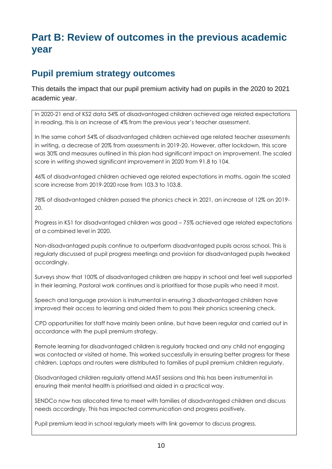# **Part B: Review of outcomes in the previous academic year**

## **Pupil premium strategy outcomes**

This details the impact that our pupil premium activity had on pupils in the 2020 to 2021 academic year.

In 2020-21 end of KS2 data 54% of disadvantaged children achieved age related expectations in reading, this is an increase of 4% from the previous year's teacher assessment.

In the same cohort 54% of disadvantaged children achieved age related teacher assessments in writing, a decrease of 20% from assessments in 2019-20. However, after lockdown, this score was 30% and measures outlined in this plan had significant impact on improvement. The scaled score in writing showed significant improvement in 2020 from 91.8 to 104.

46% of disadvantaged children achieved age related expectations in maths, again the scaled score increase from 2019-2020 rose from 103.3 to 103.8.

78% of disadvantaged children passed the phonics check in 2021, an increase of 12% on 2019- 20.

Progress in KS1 for disadvantaged children was good – 75% achieved age related expectations at a combined level in 2020.

Non-disadvantaged pupils continue to outperform disadvantaged pupils across school. This is regularly discussed at pupil progress meetings and provision for disadvantaged pupils tweaked accordingly.

Surveys show that 100% of disadvantaged children are happy in school and feel well supported in their learning. Pastoral work continues and is prioritised for those pupils who need it most.

Speech and language provision is instrumental in ensuring 3 disadvantaged children have improved their access to learning and aided them to pass their phonics screening check.

CPD opportunities for staff have mainly been online, but have been regular and carried out in accordance with the pupil premium strategy.

Remote learning for disadvantaged children is regularly tracked and any child not engaging was contacted or visited at home. This worked successfully in ensuring better progress for these children. Laptops and routers were distributed to families of pupil premium children regularly.

Disadvantaged children regularly attend MAST sessions and this has been instrumental in ensuring their mental health is prioritised and aided in a practical way.

SENDCo now has allocated time to meet with families of disadvantaged children and discuss needs accordingly. This has impacted communication and progress positively.

Pupil premium lead in school regularly meets with link governor to discuss progress.